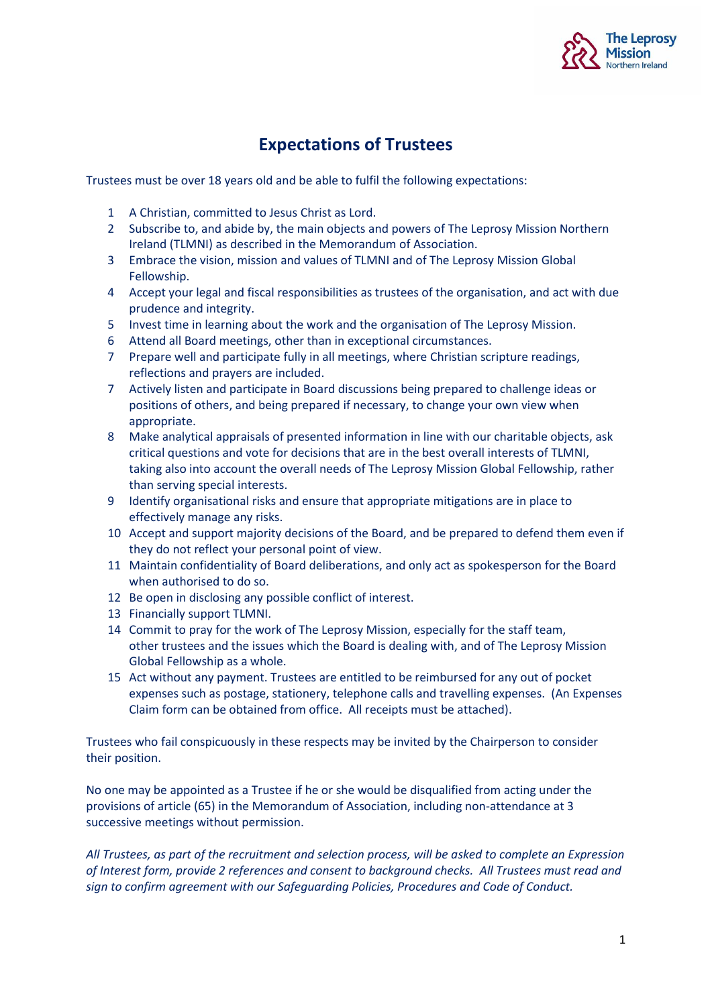

## **Expectations of Trustees**

Trustees must be over 18 years old and be able to fulfil the following expectations:

- 1 A Christian, committed to Jesus Christ as Lord.
- 2 Subscribe to, and abide by, the main objects and powers of The Leprosy Mission Northern Ireland (TLMNI) as described in the Memorandum of Association.
- 3 Embrace the vision, mission and values of TLMNI and of The Leprosy Mission Global Fellowship.
- 4 Accept your legal and fiscal responsibilities as trustees of the organisation, and act with due prudence and integrity.
- 5 Invest time in learning about the work and the organisation of The Leprosy Mission.
- 6 Attend all Board meetings, other than in exceptional circumstances.
- 7 Prepare well and participate fully in all meetings, where Christian scripture readings, reflections and prayers are included.
- 7 Actively listen and participate in Board discussions being prepared to challenge ideas or positions of others, and being prepared if necessary, to change your own view when appropriate.
- 8 Make analytical appraisals of presented information in line with our charitable objects, ask critical questions and vote for decisions that are in the best overall interests of TLMNI, taking also into account the overall needs of The Leprosy Mission Global Fellowship, rather than serving special interests.
- 9 Identify organisational risks and ensure that appropriate mitigations are in place to effectively manage any risks.
- 10 Accept and support majority decisions of the Board, and be prepared to defend them even if they do not reflect your personal point of view.
- 11 Maintain confidentiality of Board deliberations, and only act as spokesperson for the Board when authorised to do so.
- 12 Be open in disclosing any possible conflict of interest.
- 13 Financially support TLMNI.
- 14 Commit to pray for the work of The Leprosy Mission, especially for the staff team, other trustees and the issues which the Board is dealing with, and of The Leprosy Mission Global Fellowship as a whole.
- 15 Act without any payment. Trustees are entitled to be reimbursed for any out of pocket expenses such as postage, stationery, telephone calls and travelling expenses. (An Expenses Claim form can be obtained from office. All receipts must be attached).

Trustees who fail conspicuously in these respects may be invited by the Chairperson to consider their position.

No one may be appointed as a Trustee if he or she would be disqualified from acting under the provisions of article (65) in the Memorandum of Association, including non-attendance at 3 successive meetings without permission.

*All Trustees, as part of the recruitment and selection process, will be asked to complete an Expression of Interest form, provide 2 references and consent to background checks. All Trustees must read and sign to confirm agreement with our Safeguarding Policies, Procedures and Code of Conduct.*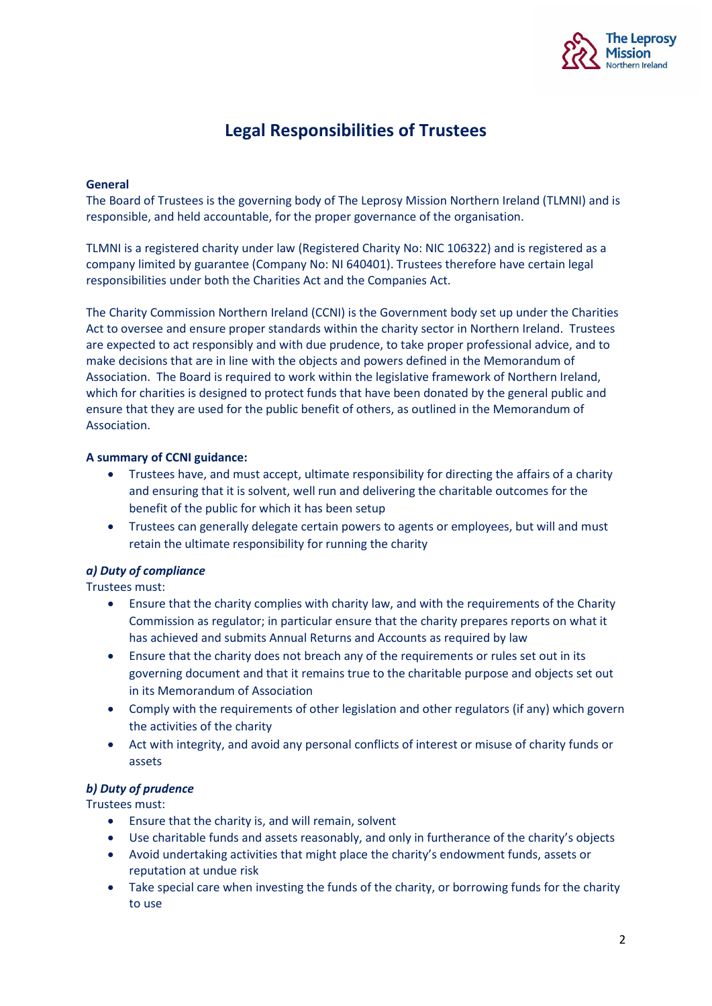

# **Legal Responsibilities of Trustees**

#### **General**

The Board of Trustees is the governing body of The Leprosy Mission Northern Ireland (TLMNI) and is responsible, and held accountable, for the proper governance of the organisation.

TLMNI is a registered charity under law (Registered Charity No: NIC 106322) and is registered as a company limited by guarantee (Company No: NI 640401). Trustees therefore have certain legal responsibilities under both the Charities Act and the Companies Act.

The Charity Commission Northern Ireland (CCNI) is the Government body set up under the Charities Act to oversee and ensure proper standards within the charity sector in Northern Ireland. Trustees are expected to act responsibly and with due prudence, to take proper professional advice, and to make decisions that are in line with the objects and powers defined in the Memorandum of Association. The Board is required to work within the legislative framework of Northern Ireland, which for charities is designed to protect funds that have been donated by the general public and ensure that they are used for the public benefit of others, as outlined in the Memorandum of Association.

#### **A summary of CCNI guidance:**

- Trustees have, and must accept, ultimate responsibility for directing the affairs of a charity and ensuring that it is solvent, well run and delivering the charitable outcomes for the benefit of the public for which it has been setup
- Trustees can generally delegate certain powers to agents or employees, but will and must retain the ultimate responsibility for running the charity

### *a) Duty of compliance*

Trustees must:

- Ensure that the charity complies with charity law, and with the requirements of the Charity Commission as regulator; in particular ensure that the charity prepares reports on what it has achieved and submits Annual Returns and Accounts as required by law
- Ensure that the charity does not breach any of the requirements or rules set out in its governing document and that it remains true to the charitable purpose and objects set out in its Memorandum of Association
- Comply with the requirements of other legislation and other regulators (if any) which govern the activities of the charity
- Act with integrity, and avoid any personal conflicts of interest or misuse of charity funds or assets

#### *b) Duty of prudence*

Trustees must:

- Ensure that the charity is, and will remain, solvent
- Use charitable funds and assets reasonably, and only in furtherance of the charity's objects
- Avoid undertaking activities that might place the charity's endowment funds, assets or reputation at undue risk
- Take special care when investing the funds of the charity, or borrowing funds for the charity to use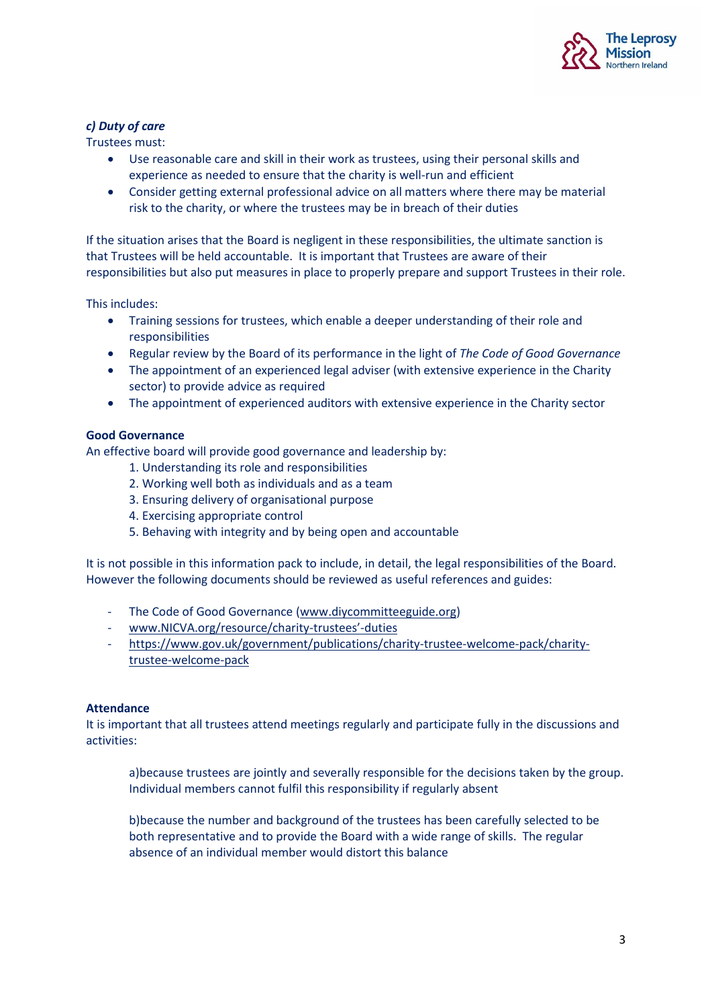

#### *c) Duty of care*

Trustees must:

- Use reasonable care and skill in their work as trustees, using their personal skills and experience as needed to ensure that the charity is well-run and efficient
- Consider getting external professional advice on all matters where there may be material risk to the charity, or where the trustees may be in breach of their duties

If the situation arises that the Board is negligent in these responsibilities, the ultimate sanction is that Trustees will be held accountable. It is important that Trustees are aware of their responsibilities but also put measures in place to properly prepare and support Trustees in their role.

This includes:

- Training sessions for trustees, which enable a deeper understanding of their role and responsibilities
- Regular review by the Board of its performance in the light of *The Code of Good Governance*
- The appointment of an experienced legal adviser (with extensive experience in the Charity sector) to provide advice as required
- The appointment of experienced auditors with extensive experience in the Charity sector

#### **Good Governance**

An effective board will provide good governance and leadership by:

- 1. Understanding its role and responsibilities
- 2. Working well both as individuals and as a team
- 3. Ensuring delivery of organisational purpose
- 4. Exercising appropriate control
- 5. Behaving with integrity and by being open and accountable

It is not possible in this information pack to include, in detail, the legal responsibilities of the Board. However the following documents should be reviewed as useful references and guides:

- The Code of Good Governance [\(www.diycommitteeguide.org\)](http://www.diycommitteeguide.org/)
- [www.NICVA.org/resource/charity-](http://www.nicva.org/resource/charity-trustees)trustees'-duties
- [https://www.gov.uk/government/publications/charity-trustee-welcome-pack/charity](https://www.gov.uk/government/publications/charity-trustee-welcome-pack/charity-trustee-welcome-pack)[trustee-welcome-pack](https://www.gov.uk/government/publications/charity-trustee-welcome-pack/charity-trustee-welcome-pack)

#### **Attendance**

It is important that all trustees attend meetings regularly and participate fully in the discussions and activities:

a)because trustees are jointly and severally responsible for the decisions taken by the group. Individual members cannot fulfil this responsibility if regularly absent

b)because the number and background of the trustees has been carefully selected to be both representative and to provide the Board with a wide range of skills. The regular absence of an individual member would distort this balance